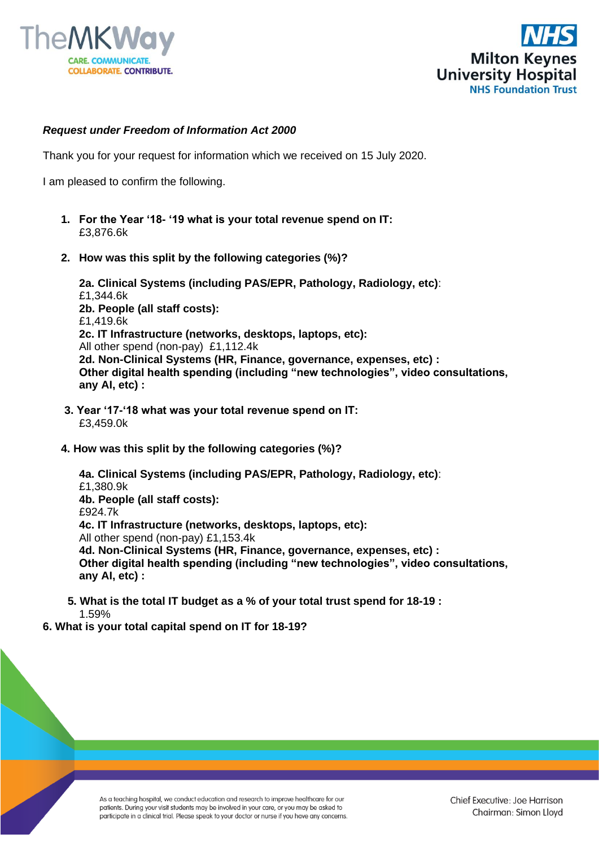



## *Request under Freedom of Information Act 2000*

Thank you for your request for information which we received on 15 July 2020.

I am pleased to confirm the following.

- **1. For the Year '18- '19 what is your total revenue spend on IT:** £3,876.6k
- **2. How was this split by the following categories (%)?**

**2a. Clinical Systems (including PAS/EPR, Pathology, Radiology, etc)**: £1,344.6k **2b. People (all staff costs):**  £1,419.6k **2c. IT Infrastructure (networks, desktops, laptops, etc):** All other spend (non-pay) £1,112.4k **2d. Non-Clinical Systems (HR, Finance, governance, expenses, etc) : Other digital health spending (including "new technologies", video consultations, any AI, etc) :**

- **3. Year '17-'18 what was your total revenue spend on IT:**  £3,459.0k
- **4. How was this split by the following categories (%)?**

**4a. Clinical Systems (including PAS/EPR, Pathology, Radiology, etc)**: £1,380.9k **4b. People (all staff costs):**  £924.7k **4c. IT Infrastructure (networks, desktops, laptops, etc):** All other spend (non-pay) £1,153.4k **4d. Non-Clinical Systems (HR, Finance, governance, expenses, etc) : Other digital health spending (including "new technologies", video consultations, any AI, etc) :**

- **5. What is the total IT budget as a % of your total trust spend for 18-19 :** 1.59%
- **6. What is your total capital spend on IT for 18-19?**

As a teaching hospital, we conduct education and research to improve healthcare for our patients. During your visit students may be involved in your care, or you may be asked to participate in a clinical trial. Please speak to your doctor or nurse if you have any concerns.